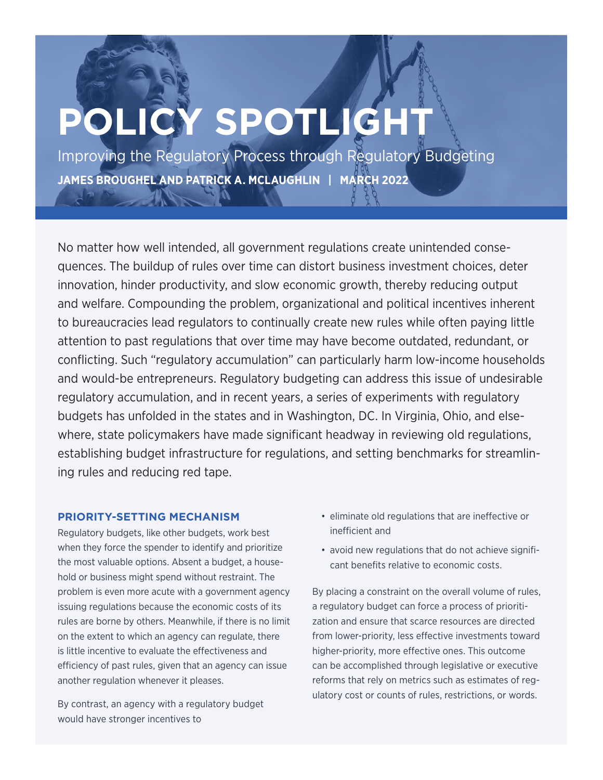# **POLICY SPOTLIGHT**

Improving the Regulatory Process through Regulatory Budgeting **JAMES BROUGHEL AND PATRICK A. MCLAUGHLIN | MARCH 2022**

No matter how well intended, all government regulations create unintended consequences. The buildup of rules over time can distort business investment choices, deter innovation, hinder productivity, and slow economic growth, thereby reducing output and welfare. Compounding the problem, organizational and political incentives inherent to bureaucracies lead regulators to continually create new rules while often paying little attention to past regulations that over time may have become outdated, redundant, or conflicting. Such "regulatory accumulation" can particularly harm low-income households and would-be entrepreneurs. Regulatory budgeting can address this issue of undesirable regulatory accumulation, and in recent years, a series of experiments with regulatory budgets has unfolded in the states and in Washington, DC. In Virginia, Ohio, and elsewhere, state policymakers have made significant headway in reviewing old regulations, establishing budget infrastructure for regulations, and setting benchmarks for streamlining rules and reducing red tape.

## **PRIORITY-SETTING MECHANISM**

Regulatory budgets, like other budgets, work best when they force the spender to identify and prioritize the most valuable options. Absent a budget, a household or business might spend without restraint. The problem is even more acute with a government agency issuing regulations because the economic costs of its rules are borne by others. Meanwhile, if there is no limit on the extent to which an agency can regulate, there is little incentive to evaluate the effectiveness and efficiency of past rules, given that an agency can issue another regulation whenever it pleases.

By contrast, an agency with a regulatory budget would have stronger incentives to

- eliminate old regulations that are ineffective or inefficient and
- avoid new regulations that do not achieve significant benefits relative to economic costs.

By placing a constraint on the overall volume of rules, a regulatory budget can force a process of prioritization and ensure that scarce resources are directed from lower-priority, less effective investments toward higher-priority, more effective ones. This outcome can be accomplished through legislative or executive reforms that rely on metrics such as estimates of regulatory cost or counts of rules, restrictions, or words.